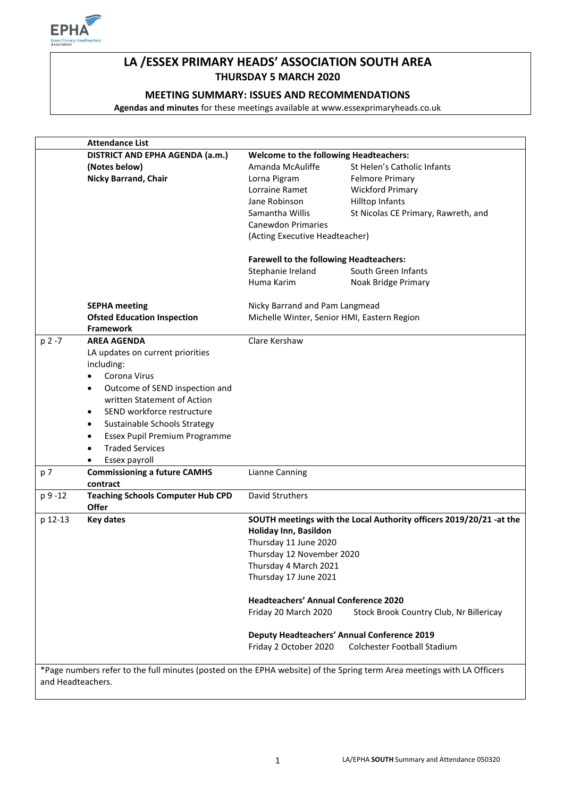

# **LA /ESSEX PRIMARY HEADS' ASSOCIATION SOUTH AREA THURSDAY 5 MARCH 2020**

# **MEETING SUMMARY: ISSUES AND RECOMMENDATIONS**

**Agendas and minutes** for these meetings available at www.essexprimaryheads.co.uk

|         | <b>Attendance List</b>                                                                                                 |                                                                                              |                                         |  |
|---------|------------------------------------------------------------------------------------------------------------------------|----------------------------------------------------------------------------------------------|-----------------------------------------|--|
|         | DISTRICT AND EPHA AGENDA (a.m.)                                                                                        | <b>Welcome to the following Headteachers:</b>                                                |                                         |  |
|         | (Notes below)                                                                                                          | Amanda McAuliffe                                                                             | St Helen's Catholic Infants             |  |
|         | <b>Nicky Barrand, Chair</b>                                                                                            | Lorna Pigram                                                                                 | <b>Felmore Primary</b>                  |  |
|         |                                                                                                                        | Lorraine Ramet                                                                               | <b>Wickford Primary</b>                 |  |
|         |                                                                                                                        | Jane Robinson                                                                                | Hilltop Infants                         |  |
|         |                                                                                                                        | Samantha Willis                                                                              | St Nicolas CE Primary, Rawreth, and     |  |
|         |                                                                                                                        | <b>Canewdon Primaries</b>                                                                    |                                         |  |
|         |                                                                                                                        | (Acting Executive Headteacher)                                                               |                                         |  |
|         |                                                                                                                        |                                                                                              |                                         |  |
|         |                                                                                                                        | <b>Farewell to the following Headteachers:</b>                                               |                                         |  |
|         |                                                                                                                        | Stephanie Ireland                                                                            | South Green Infants                     |  |
|         |                                                                                                                        | Huma Karim                                                                                   | Noak Bridge Primary                     |  |
|         | <b>SEPHA meeting</b>                                                                                                   | Nicky Barrand and Pam Langmead                                                               |                                         |  |
|         | <b>Ofsted Education Inspection</b>                                                                                     |                                                                                              |                                         |  |
|         | <b>Framework</b>                                                                                                       | Michelle Winter, Senior HMI, Eastern Region                                                  |                                         |  |
| p 2 -7  | <b>AREA AGENDA</b>                                                                                                     | Clare Kershaw                                                                                |                                         |  |
|         | LA updates on current priorities                                                                                       |                                                                                              |                                         |  |
|         | including:                                                                                                             |                                                                                              |                                         |  |
|         | Corona Virus<br>$\bullet$                                                                                              |                                                                                              |                                         |  |
|         | Outcome of SEND inspection and<br>٠                                                                                    |                                                                                              |                                         |  |
|         | written Statement of Action                                                                                            |                                                                                              |                                         |  |
|         | SEND workforce restructure<br>$\bullet$                                                                                |                                                                                              |                                         |  |
|         | Sustainable Schools Strategy                                                                                           |                                                                                              |                                         |  |
|         | ٠                                                                                                                      |                                                                                              |                                         |  |
|         | Essex Pupil Premium Programme<br>٠                                                                                     |                                                                                              |                                         |  |
|         | <b>Traded Services</b><br>$\bullet$                                                                                    |                                                                                              |                                         |  |
| p 7     | Essex payroll<br>$\bullet$                                                                                             | <b>Lianne Canning</b>                                                                        |                                         |  |
|         | <b>Commissioning a future CAMHS</b><br>contract                                                                        |                                                                                              |                                         |  |
| p 9 -12 | <b>Teaching Schools Computer Hub CPD</b>                                                                               | David Struthers                                                                              |                                         |  |
|         | <b>Offer</b>                                                                                                           |                                                                                              |                                         |  |
| p 12-13 | <b>Key dates</b>                                                                                                       | SOUTH meetings with the Local Authority officers 2019/20/21 -at the<br>Holiday Inn, Basildon |                                         |  |
|         |                                                                                                                        |                                                                                              |                                         |  |
|         |                                                                                                                        | Thursday 11 June 2020                                                                        |                                         |  |
|         |                                                                                                                        | Thursday 12 November 2020<br>Thursday 4 March 2021                                           |                                         |  |
|         |                                                                                                                        |                                                                                              |                                         |  |
|         |                                                                                                                        | Thursday 17 June 2021                                                                        |                                         |  |
|         |                                                                                                                        | <b>Headteachers' Annual Conference 2020</b>                                                  |                                         |  |
|         |                                                                                                                        | Friday 20 March 2020                                                                         | Stock Brook Country Club, Nr Billericay |  |
|         |                                                                                                                        | <b>Deputy Headteachers' Annual Conference 2019</b>                                           |                                         |  |
|         |                                                                                                                        | Friday 2 October 2020                                                                        | <b>Colchester Football Stadium</b>      |  |
|         |                                                                                                                        |                                                                                              |                                         |  |
|         |                                                                                                                        |                                                                                              |                                         |  |
|         | *Page numbers refer to the full minutes (posted on the EPHA website) of the Spring term Area meetings with LA Officers |                                                                                              |                                         |  |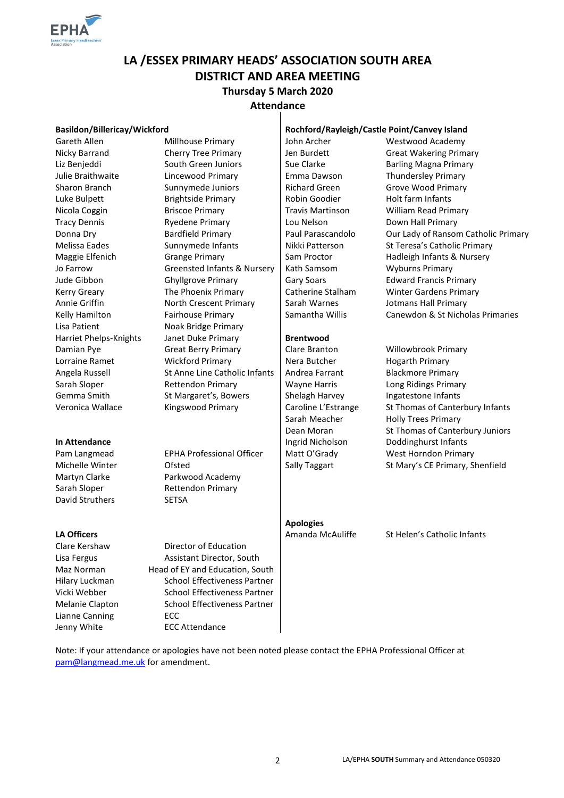

# **LA /ESSEX PRIMARY HEADS' ASSOCIATION SOUTH AREA DISTRICT AND AREA MEETING**

# **Thursday 5 March 2020**

# **Attendance**

| Basildon/Billericay/Wickford |                                        | Rochford/Rayleigh/Castle Point/Canvey Island |                                     |
|------------------------------|----------------------------------------|----------------------------------------------|-------------------------------------|
| Gareth Allen                 | Millhouse Primary                      | John Archer                                  | Westwood Academy                    |
| Nicky Barrand                | <b>Cherry Tree Primary</b>             | Jen Burdett                                  | <b>Great Wakering Primary</b>       |
| Liz Benjeddi                 | South Green Juniors                    | Sue Clarke                                   | <b>Barling Magna Primary</b>        |
| Julie Braithwaite            | Lincewood Primary                      | Emma Dawson                                  | <b>Thundersley Primary</b>          |
| Sharon Branch                | Sunnymede Juniors                      | <b>Richard Green</b>                         | Grove Wood Primary                  |
| Luke Bulpett                 | <b>Brightside Primary</b>              | Robin Goodier                                | Holt farm Infants                   |
| Nicola Coggin                | <b>Briscoe Primary</b>                 | <b>Travis Martinson</b>                      | <b>William Read Primary</b>         |
| <b>Tracy Dennis</b>          | <b>Ryedene Primary</b>                 | Lou Nelson                                   | Down Hall Primary                   |
| Donna Dry                    | <b>Bardfield Primary</b>               | Paul Parascandolo                            | Our Lady of Ransom Catholic Primary |
| Melissa Eades                | Sunnymede Infants                      | Nikki Patterson                              | St Teresa's Catholic Primary        |
| Maggie Elfenich              | <b>Grange Primary</b>                  | Sam Proctor                                  | Hadleigh Infants & Nursery          |
| Jo Farrow                    | <b>Greensted Infants &amp; Nursery</b> | Kath Samsom                                  | <b>Wyburns Primary</b>              |
| Jude Gibbon                  | <b>Ghyllgrove Primary</b>              | <b>Gary Soars</b>                            | <b>Edward Francis Primary</b>       |
| Kerry Greary                 | The Phoenix Primary                    | Catherine Stalham                            | <b>Winter Gardens Primary</b>       |
| Annie Griffin                | North Crescent Primary                 | Sarah Warnes                                 | Jotmans Hall Primary                |
| Kelly Hamilton               | Fairhouse Primary                      | Samantha Willis                              | Canewdon & St Nicholas Primaries    |
| Lisa Patient                 | Noak Bridge Primary                    |                                              |                                     |
| Harriet Phelps-Knights       | Janet Duke Primary                     | <b>Brentwood</b>                             |                                     |
| Damian Pye                   | <b>Great Berry Primary</b>             | Clare Branton                                | Willowbrook Primary                 |
| Lorraine Ramet               | <b>Wickford Primary</b>                | Nera Butcher                                 | <b>Hogarth Primary</b>              |
| Angela Russell               | St Anne Line Catholic Infants          | Andrea Farrant                               | <b>Blackmore Primary</b>            |
| Sarah Sloper                 | Rettendon Primary                      | <b>Wayne Harris</b>                          | Long Ridings Primary                |
| Gemma Smith                  | St Margaret's, Bowers                  | Shelagh Harvey                               | Ingatestone Infants                 |
| Veronica Wallace             | Kingswood Primary                      | Caroline L'Estrange                          | St Thomas of Canterbury Infants     |
|                              |                                        | Sarah Meacher                                | <b>Holly Trees Primary</b>          |
|                              |                                        | Dean Moran                                   | St Thomas of Canterbury Juniors     |
| In Attendance                |                                        | Ingrid Nicholson                             | Doddinghurst Infants                |
| Pam Langmead                 | <b>EPHA Professional Officer</b>       | Matt O'Grady                                 | West Horndon Primary                |
| Michelle Winter              | Ofsted                                 | Sally Taggart                                | St Mary's CE Primary, Shenfield     |
| Martyn Clarke                | Parkwood Academy                       |                                              |                                     |
| Sarah Sloper                 | Rettendon Primary                      |                                              |                                     |
| David Struthers              | SETSA                                  |                                              |                                     |
|                              |                                        | <b>Apologies</b>                             |                                     |
| <b>LA Officers</b>           |                                        | Amanda McAuliffe                             | St Helen's Catholic Infants         |
| Clare Kershaw                | <b>Director of Education</b>           |                                              |                                     |
| Lisa Fergus                  | Assistant Director, South              |                                              |                                     |
| Maz Norman                   | Head of EY and Education, South        |                                              |                                     |
| Hilary Luckman               | <b>School Effectiveness Partner</b>    |                                              |                                     |
| Vicki Webber                 | <b>School Effectiveness Partner</b>    |                                              |                                     |
| Melanie Clapton              | School Effectiveness Partner           |                                              |                                     |
| Lianne Canning               | ECC                                    |                                              |                                     |
| Jenny White                  | <b>ECC Attendance</b>                  |                                              |                                     |

Note: If your attendance or apologies have not been noted please contact the EPHA Professional Officer at [pam@langmead.me.uk](mailto:pam@langmead.me.uk) for amendment.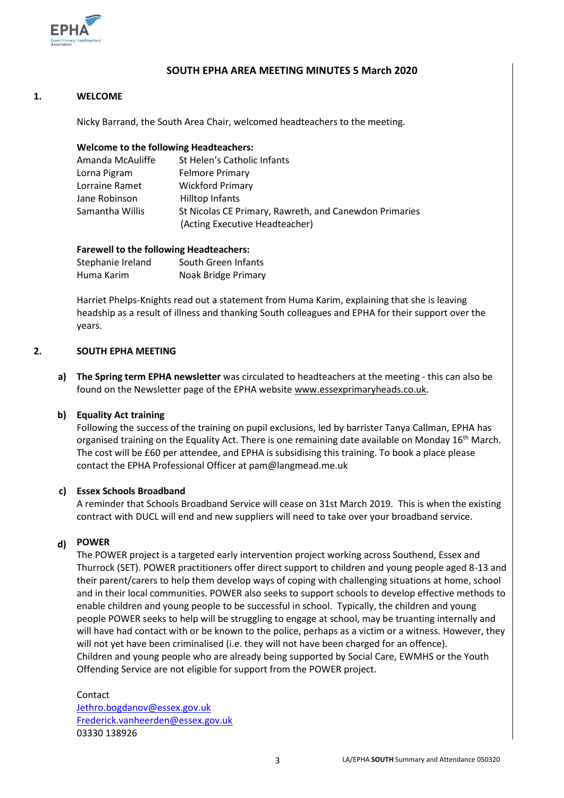

# **SOUTH EPHA AREA MEETING MINUTES 5 March 2020**

# **1. WELCOME**

Nicky Barrand, the South Area Chair, welcomed headteachers to the meeting.

# **Welcome to the following Headteachers:**

| Amanda McAuliffe | St Helen's Catholic Infants                            |
|------------------|--------------------------------------------------------|
| Lorna Pigram     | <b>Felmore Primary</b>                                 |
| Lorraine Ramet   | <b>Wickford Primary</b>                                |
| Jane Robinson    | Hilltop Infants                                        |
| Samantha Willis  | St Nicolas CE Primary, Rawreth, and Canewdon Primaries |
|                  | (Acting Executive Headteacher)                         |

# **Farewell to the following Headteachers:**

| Stephanie Ireland | South Green Infants |
|-------------------|---------------------|
| Huma Karim        | Noak Bridge Primary |

Harriet Phelps-Knights read out a statement from Huma Karim, explaining that she is leaving headship as a result of illness and thanking South colleagues and EPHA for their support over the years.

#### **2. SOUTH EPHA MEETING**

**a) The Spring term EPHA newsletter** was circulated to headteachers at the meeting - this can also be found on the Newsletter page of the EPHA website [www.essexprimaryheads.co.uk.](http://www.essexprimaryheads.co.uk/)

# **b) Equality Act training**

Following the success of the training on pupil exclusions, led by barrister Tanya Callman, EPHA has organised training on the Equality Act. There is one remaining date available on Monday 16<sup>th</sup> March. The cost will be £60 per attendee, and EPHA is subsidising this training. To book a place please contact the EPHA Professional Officer at pam@langmead.me.uk

# **c) Essex Schools Broadband**

A reminder that Schools Broadband Service will cease on 31st March 2019. This is when the existing contract with DUCL will end and new suppliers will need to take over your broadband service.

# **d) POWER**

The POWER project is a targeted early intervention project working across Southend, Essex and Thurrock (SET). POWER practitioners offer direct support to children and young people aged 8-13 and their parent/carers to help them develop ways of coping with challenging situations at home, school and in their local communities. POWER also seeks to support schools to develop effective methods to enable children and young people to be successful in school. Typically, the children and young people POWER seeks to help will be struggling to engage at school, may be truanting internally and will have had contact with or be known to the police, perhaps as a victim or a witness. However, they will not yet have been criminalised (i.e. they will not have been charged for an offence). Children and young people who are already being supported by Social Care, EWMHS or the Youth Offending Service are not eligible for support from the POWER project.

# Contact

[Jethro.bogdanov@essex.gov.uk](mailto:Jethro.bogdanov@essex.gov.uk) [Frederick.vanheerden@essex.gov.uk](mailto:Frederick.vanheerden@essex.gov.uk) 03330 138926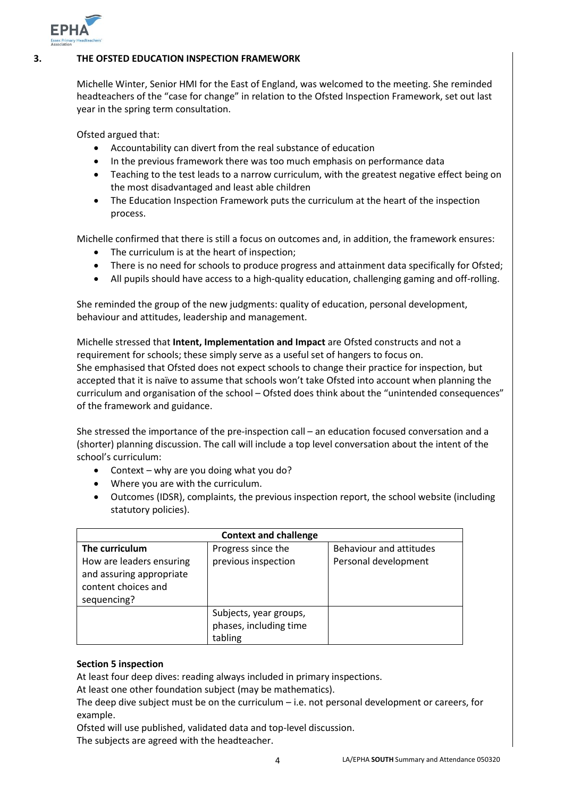

# **3. THE OFSTED EDUCATION INSPECTION FRAMEWORK**

Michelle Winter, Senior HMI for the East of England, was welcomed to the meeting. She reminded headteachers of the "case for change" in relation to the Ofsted Inspection Framework, set out last year in the spring term consultation.

Ofsted argued that:

- Accountability can divert from the real substance of education
- In the previous framework there was too much emphasis on performance data
- Teaching to the test leads to a narrow curriculum, with the greatest negative effect being on the most disadvantaged and least able children
- The Education Inspection Framework puts the curriculum at the heart of the inspection process.

Michelle confirmed that there is still a focus on outcomes and, in addition, the framework ensures:

- The curriculum is at the heart of inspection;
- There is no need for schools to produce progress and attainment data specifically for Ofsted;
- All pupils should have access to a high-quality education, challenging gaming and off-rolling.

She reminded the group of the new judgments: quality of education, personal development, behaviour and attitudes, leadership and management.

Michelle stressed that **Intent, Implementation and Impact** are Ofsted constructs and not a requirement for schools; these simply serve as a useful set of hangers to focus on. She emphasised that Ofsted does not expect schools to change their practice for inspection, but accepted that it is naïve to assume that schools won't take Ofsted into account when planning the curriculum and organisation of the school – Ofsted does think about the "unintended consequences" of the framework and guidance.

She stressed the importance of the pre-inspection call – an education focused conversation and a (shorter) planning discussion. The call will include a top level conversation about the intent of the school's curriculum:

- Context why are you doing what you do?
- Where you are with the curriculum.
- Outcomes (IDSR), complaints, the previous inspection report, the school website (including statutory policies).

| <b>Context and challenge</b>                                                                                 |                                                             |                                                 |  |  |  |
|--------------------------------------------------------------------------------------------------------------|-------------------------------------------------------------|-------------------------------------------------|--|--|--|
| The curriculum<br>How are leaders ensuring<br>and assuring appropriate<br>content choices and<br>sequencing? | Progress since the<br>previous inspection                   | Behaviour and attitudes<br>Personal development |  |  |  |
|                                                                                                              | Subjects, year groups,<br>phases, including time<br>tabling |                                                 |  |  |  |

# **Section 5 inspection**

At least four deep dives: reading always included in primary inspections.

At least one other foundation subject (may be mathematics).

The deep dive subject must be on the curriculum – i.e. not personal development or careers, for example.

Ofsted will use published, validated data and top-level discussion. The subjects are agreed with the headteacher.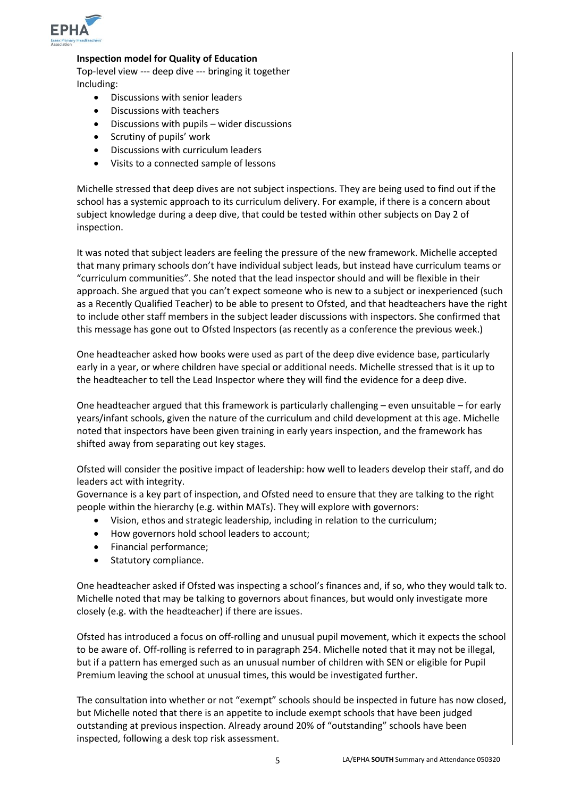

# **Inspection model for Quality of Education**

Top-level view --- deep dive --- bringing it together Including:

- Discussions with senior leaders
- Discussions with teachers
- Discussions with pupils wider discussions
- Scrutiny of pupils' work
- Discussions with curriculum leaders
- Visits to a connected sample of lessons

Michelle stressed that deep dives are not subject inspections. They are being used to find out if the school has a systemic approach to its curriculum delivery. For example, if there is a concern about subject knowledge during a deep dive, that could be tested within other subjects on Day 2 of inspection.

It was noted that subject leaders are feeling the pressure of the new framework. Michelle accepted that many primary schools don't have individual subject leads, but instead have curriculum teams or "curriculum communities". She noted that the lead inspector should and will be flexible in their approach. She argued that you can't expect someone who is new to a subject or inexperienced (such as a Recently Qualified Teacher) to be able to present to Ofsted, and that headteachers have the right to include other staff members in the subject leader discussions with inspectors. She confirmed that this message has gone out to Ofsted Inspectors (as recently as a conference the previous week.)

One headteacher asked how books were used as part of the deep dive evidence base, particularly early in a year, or where children have special or additional needs. Michelle stressed that is it up to the headteacher to tell the Lead Inspector where they will find the evidence for a deep dive.

One headteacher argued that this framework is particularly challenging – even unsuitable – for early years/infant schools, given the nature of the curriculum and child development at this age. Michelle noted that inspectors have been given training in early years inspection, and the framework has shifted away from separating out key stages.

Ofsted will consider the positive impact of leadership: how well to leaders develop their staff, and do leaders act with integrity.

Governance is a key part of inspection, and Ofsted need to ensure that they are talking to the right people within the hierarchy (e.g. within MATs). They will explore with governors:

- Vision, ethos and strategic leadership, including in relation to the curriculum;
- How governors hold school leaders to account;
- Financial performance;
- Statutory compliance.

One headteacher asked if Ofsted was inspecting a school's finances and, if so, who they would talk to. Michelle noted that may be talking to governors about finances, but would only investigate more closely (e.g. with the headteacher) if there are issues.

Ofsted has introduced a focus on off-rolling and unusual pupil movement, which it expects the school to be aware of. Off-rolling is referred to in paragraph 254. Michelle noted that it may not be illegal, but if a pattern has emerged such as an unusual number of children with SEN or eligible for Pupil Premium leaving the school at unusual times, this would be investigated further.

The consultation into whether or not "exempt" schools should be inspected in future has now closed, but Michelle noted that there is an appetite to include exempt schools that have been judged outstanding at previous inspection. Already around 20% of "outstanding" schools have been inspected, following a desk top risk assessment.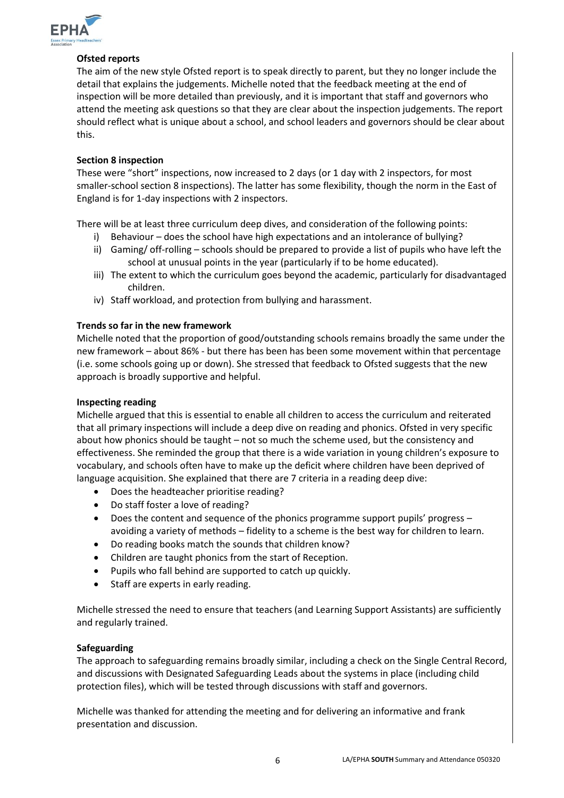

# **Ofsted reports**

The aim of the new style Ofsted report is to speak directly to parent, but they no longer include the detail that explains the judgements. Michelle noted that the feedback meeting at the end of inspection will be more detailed than previously, and it is important that staff and governors who attend the meeting ask questions so that they are clear about the inspection judgements. The report should reflect what is unique about a school, and school leaders and governors should be clear about this.

# **Section 8 inspection**

These were "short" inspections, now increased to 2 days (or 1 day with 2 inspectors, for most smaller-school section 8 inspections). The latter has some flexibility, though the norm in the East of England is for 1-day inspections with 2 inspectors.

There will be at least three curriculum deep dives, and consideration of the following points:

- i) Behaviour does the school have high expectations and an intolerance of bullying?
- ii) Gaming/ off-rolling schools should be prepared to provide a list of pupils who have left the school at unusual points in the year (particularly if to be home educated).
- iii) The extent to which the curriculum goes beyond the academic, particularly for disadvantaged children.
- iv) Staff workload, and protection from bullying and harassment.

# **Trends so far in the new framework**

Michelle noted that the proportion of good/outstanding schools remains broadly the same under the new framework – about 86% - but there has been has been some movement within that percentage (i.e. some schools going up or down). She stressed that feedback to Ofsted suggests that the new approach is broadly supportive and helpful.

# **Inspecting reading**

Michelle argued that this is essential to enable all children to access the curriculum and reiterated that all primary inspections will include a deep dive on reading and phonics. Ofsted in very specific about how phonics should be taught – not so much the scheme used, but the consistency and effectiveness. She reminded the group that there is a wide variation in young children's exposure to vocabulary, and schools often have to make up the deficit where children have been deprived of language acquisition. She explained that there are 7 criteria in a reading deep dive:

- Does the headteacher prioritise reading?
- Do staff foster a love of reading?
- Does the content and sequence of the phonics programme support pupils' progress avoiding a variety of methods – fidelity to a scheme is the best way for children to learn.
- Do reading books match the sounds that children know?
- Children are taught phonics from the start of Reception.
- Pupils who fall behind are supported to catch up quickly.
- Staff are experts in early reading.

Michelle stressed the need to ensure that teachers (and Learning Support Assistants) are sufficiently and regularly trained.

# **Safeguarding**

The approach to safeguarding remains broadly similar, including a check on the Single Central Record, and discussions with Designated Safeguarding Leads about the systems in place (including child protection files), which will be tested through discussions with staff and governors.

Michelle was thanked for attending the meeting and for delivering an informative and frank presentation and discussion.